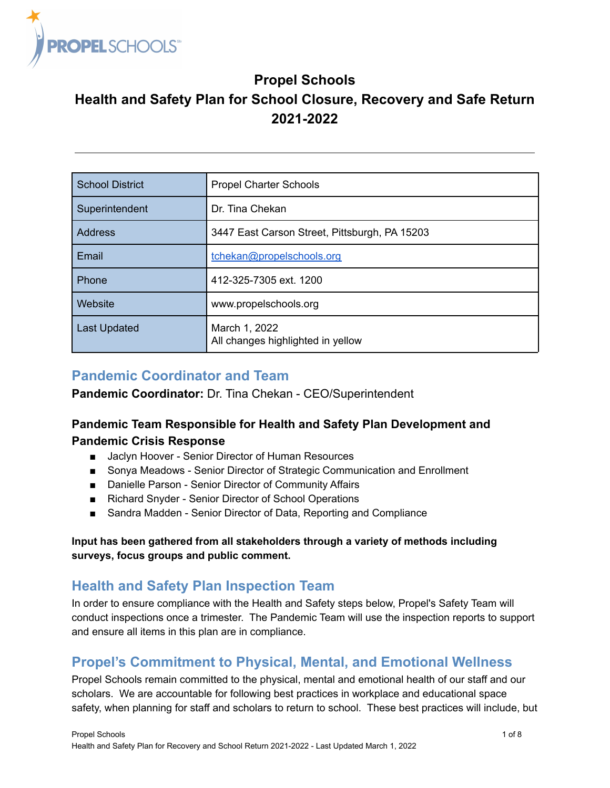

## **Propel Schools**

# **Health and Safety Plan for School Closure, Recovery and Safe Return 2021-2022**

| <b>School District</b> | Propel Charter Schools                             |
|------------------------|----------------------------------------------------|
| Superintendent         | Dr. Tina Chekan                                    |
| <b>Address</b>         | 3447 East Carson Street, Pittsburgh, PA 15203      |
| Email                  | tchekan@propelschools.org                          |
| Phone                  | 412-325-7305 ext. 1200                             |
| Website                | www.propelschools.org                              |
| <b>Last Updated</b>    | March 1, 2022<br>All changes highlighted in yellow |

## **Pandemic Coordinator and Team**

**Pandemic Coordinator:** Dr. Tina Chekan - CEO/Superintendent

## **Pandemic Team Responsible for Health and Safety Plan Development and Pandemic Crisis Response**

- Jaclyn Hoover Senior Director of Human Resources
- Sonya Meadows Senior Director of Strategic Communication and Enrollment
- Danielle Parson Senior Director of Community Affairs
- Richard Snyder Senior Director of School Operations
- Sandra Madden Senior Director of Data, Reporting and Compliance

#### **Input has been gathered from all stakeholders through a variety of methods including surveys, focus groups and public comment.**

## **Health and Safety Plan Inspection Team**

In order to ensure compliance with the Health and Safety steps below, Propel's Safety Team will conduct inspections once a trimester. The Pandemic Team will use the inspection reports to support and ensure all items in this plan are in compliance.

## **Propel's Commitment to Physical, Mental, and Emotional Wellness**

Propel Schools remain committed to the physical, mental and emotional health of our staff and our scholars. We are accountable for following best practices in workplace and educational space safety, when planning for staff and scholars to return to school. These best practices will include, but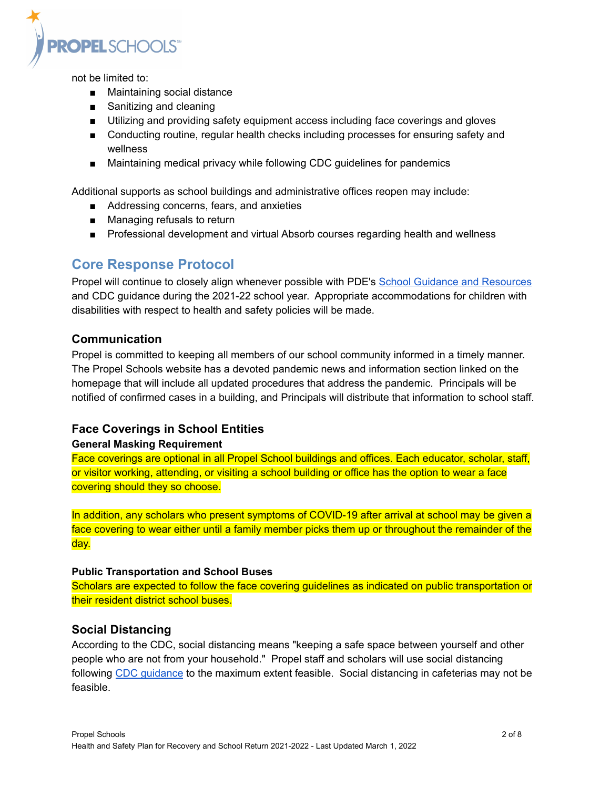

not be limited to:

- Maintaining social distance
- Sanitizing and cleaning
- Utilizing and providing safety equipment access including face coverings and gloves
- Conducting routine, regular health checks including processes for ensuring safety and wellness
- Maintaining medical privacy while following CDC quidelines for pandemics

Additional supports as school buildings and administrative offices reopen may include:

- Addressing concerns, fears, and anxieties
- Managing refusals to return
- Professional development and virtual Absorb courses regarding health and wellness

## **Core Response Protocol**

Propel will continue to closely align whenever possible with PDE's [School Guidance and Resources](https://www.education.pa.gov/Schools/safeschools/emergencyplanning/COVID-19/SchoolReopeningGuidance/Pages/default.aspx) and CDC guidance during the 2021-22 school year. Appropriate accommodations for children with disabilities with respect to health and safety policies will be made.

#### **Communication**

Propel is committed to keeping all members of our school community informed in a timely manner. The Propel Schools website has a devoted pandemic news and information section linked on the homepage that will include all updated procedures that address the pandemic. Principals will be notified of confirmed cases in a building, and Principals will distribute that information to school staff.

### <span id="page-1-0"></span>**Face Coverings in School Entities**

#### **General Masking Requirement**

Face coverings are optional in all Propel School buildings and offices. Each educator, scholar, staff, or visitor working, attending, or visiting a school building or office has the option to wear a face covering should they so choose.

In addition, any scholars who present symptoms of COVID-19 after arrival at school may be given a face covering to wear either until a family member picks them up or throughout the remainder of the day.

#### **Public Transportation and School Buses**

Scholars are expected to follow the face covering guidelines as indicated on public transportation or their resident district school buses.

### **Social Distancing**

According to the CDC, social distancing means "keeping a safe space between yourself and other people who are not from your household." Propel staff and scholars will use social distancing following CDC quidance to the maximum extent feasible. Social distancing in cafeterias may not be feasible.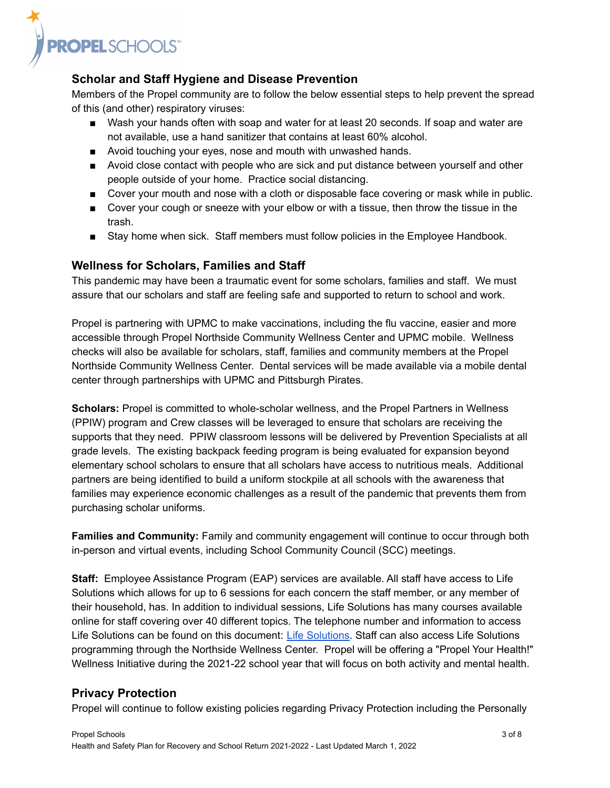

### **Scholar and Staff Hygiene and Disease Prevention**

Members of the Propel community are to follow the below essential steps to help prevent the spread of this (and other) respiratory viruses:

- Wash your hands often with soap and water for at least 20 seconds. If soap and water are not available, use a hand sanitizer that contains at least 60% alcohol.
- Avoid touching your eyes, nose and mouth with unwashed hands.
- Avoid close contact with people who are sick and put distance between yourself and other people outside of your home. Practice social distancing.
- Cover your mouth and nose with a cloth or disposable face covering or mask while in public.
- Cover your cough or sneeze with your elbow or with a tissue, then throw the tissue in the trash.
- Stay home when sick. Staff members must follow policies in the Employee Handbook.

#### **Wellness for Scholars, Families and Staff**

This pandemic may have been a traumatic event for some scholars, families and staff. We must assure that our scholars and staff are feeling safe and supported to return to school and work.

Propel is partnering with UPMC to make vaccinations, including the flu vaccine, easier and more accessible through Propel Northside Community Wellness Center and UPMC mobile. Wellness checks will also be available for scholars, staff, families and community members at the Propel Northside Community Wellness Center. Dental services will be made available via a mobile dental center through partnerships with UPMC and Pittsburgh Pirates.

**Scholars:** Propel is committed to whole-scholar wellness, and the Propel Partners in Wellness (PPIW) program and Crew classes will be leveraged to ensure that scholars are receiving the supports that they need. PPIW classroom lessons will be delivered by Prevention Specialists at all grade levels. The existing backpack feeding program is being evaluated for expansion beyond elementary school scholars to ensure that all scholars have access to nutritious meals. Additional partners are being identified to build a uniform stockpile at all schools with the awareness that families may experience economic challenges as a result of the pandemic that prevents them from purchasing scholar uniforms.

**Families and Community:** Family and community engagement will continue to occur through both in-person and virtual events, including School Community Council (SCC) meetings.

**Staff:** Employee Assistance Program (EAP) services are available. All staff have access to Life Solutions which allows for up to 6 sessions for each concern the staff member, or any member of their household, has. In addition to individual sessions, Life Solutions has many courses available online for staff covering over 40 different topics. The telephone number and information to access Life Solutions can be found on this document: Life [Solutions](https://drive.google.com/file/d/1fiNqnzhTUeknz3aG408_E89SLXD7mM22/view?usp=sharing). Staff can also access Life Solutions programming through the Northside Wellness Center. Propel will be offering a "Propel Your Health!" Wellness Initiative during the 2021-22 school year that will focus on both activity and mental health.

### **Privacy Protection**

Propel will continue to follow existing policies regarding Privacy Protection including the Personally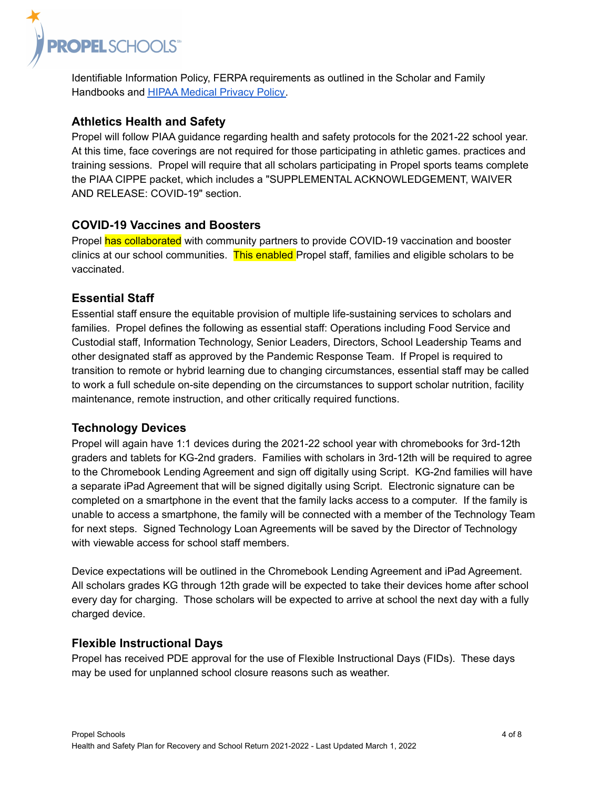

Identifiable Information Policy, FERPA requirements as outlined in the Scholar and Family Handbooks and [HIPAA Medical Privacy Policy.](https://docs.google.com/document/d/1wXSqE0E4c0xyEWvig88UzyWnyUBCzFYk7J8gptCVNH4/edit?ts=5f1199c6)

### **Athletics Health and Safety**

Propel will follow PIAA guidance regarding health and safety protocols for the 2021-22 school year. At this time, face coverings are not required for those participating in athletic games. practices and training sessions. Propel will require that all scholars participating in Propel sports teams complete the PIAA CIPPE packet, which includes a "SUPPLEMENTAL ACKNOWLEDGEMENT, WAIVER AND RELEASE: COVID-19" section.

### **COVID-19 Vaccines and Boosters**

Propel has collaborated with community partners to provide COVID-19 vaccination and booster clinics at our school communities. This enabled Propel staff, families and eligible scholars to be vaccinated.

### **Essential Staff**

Essential staff ensure the equitable provision of multiple life-sustaining services to scholars and families. Propel defines the following as essential staff: Operations including Food Service and Custodial staff, Information Technology, Senior Leaders, Directors, School Leadership Teams and other designated staff as approved by the Pandemic Response Team. If Propel is required to transition to remote or hybrid learning due to changing circumstances, essential staff may be called to work a full schedule on-site depending on the circumstances to support scholar nutrition, facility maintenance, remote instruction, and other critically required functions.

### **Technology Devices**

Propel will again have 1:1 devices during the 2021-22 school year with chromebooks for 3rd-12th graders and tablets for KG-2nd graders. Families with scholars in 3rd-12th will be required to agree to the Chromebook Lending Agreement and sign off digitally using Script. KG-2nd families will have a separate iPad Agreement that will be signed digitally using Script. Electronic signature can be completed on a smartphone in the event that the family lacks access to a computer. If the family is unable to access a smartphone, the family will be connected with a member of the Technology Team for next steps. Signed Technology Loan Agreements will be saved by the Director of Technology with viewable access for school staff members.

Device expectations will be outlined in the Chromebook Lending Agreement and iPad Agreement. All scholars grades KG through 12th grade will be expected to take their devices home after school every day for charging. Those scholars will be expected to arrive at school the next day with a fully charged device.

### **Flexible Instructional Days**

Propel has received PDE approval for the use of Flexible Instructional Days (FIDs). These days may be used for unplanned school closure reasons such as weather.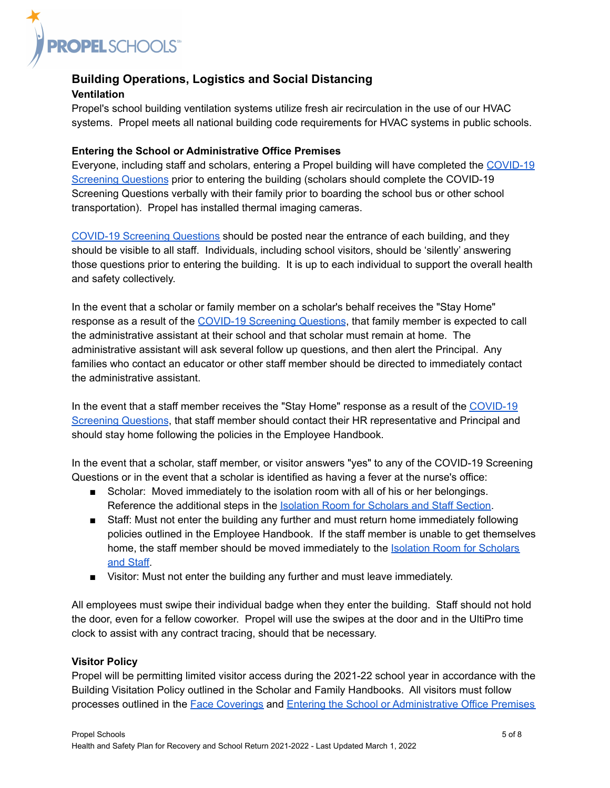

#### **Building Operations, Logistics and Social Distancing Ventilation**

Propel's school building ventilation systems utilize fresh air recirculation in the use of our HVAC systems. Propel meets all national building code requirements for HVAC systems in public schools.

#### <span id="page-4-0"></span>**Entering the School or Administrative Office Premises**

Everyone, including staff and scholars, entering a Propel building will have completed the [COVID-19](https://www.propelschools.org/docs/district/COVID-19%20Dashboard/PS_Communications_PreArrivalDailyHealthChecker_Jan%202022.jpg) [Screening Questions](https://www.propelschools.org/docs/district/COVID-19%20Dashboard/PS_Communications_PreArrivalDailyHealthChecker_Jan%202022.jpg) prior to entering the building (scholars should complete the COVID-19 Screening Questions verbally with their family prior to boarding the school bus or other school transportation). Propel has installed thermal imaging cameras.

[COVID-19 Screening Questions](https://www.propelschools.org/docs/district/COVID-19%20Dashboard/PS_Communications_PreArrivalDailyHealthChecker_Jan%202022.jpg) should be posted near the entrance of each building, and they should be visible to all staff. Individuals, including school visitors, should be 'silently' answering those questions prior to entering the building. It is up to each individual to support the overall health and safety collectively.

In the event that a scholar or family member on a scholar's behalf receives the "Stay Home" response as a result of the [COVID-19 Screening Questions](https://www.propelschools.org/docs/district/COVID-19%20Dashboard/PS_Communications_PreArrivalDailyHealthChecker_Jan%202022.jpg), that family member is expected to call the administrative assistant at their school and that scholar must remain at home. The administrative assistant will ask several follow up questions, and then alert the Principal. Any families who contact an educator or other staff member should be directed to immediately contact the administrative assistant.

In the event that a staff member receives the "Stay Home" response as a result of the [COVID-19](https://www.propelschools.org/docs/district/COVID-19%20Dashboard/PS_Communications_PreArrivalDailyHealthChecker_Jan%202022.jpg) [Screening Questions](https://www.propelschools.org/docs/district/COVID-19%20Dashboard/PS_Communications_PreArrivalDailyHealthChecker_Jan%202022.jpg), that staff member should contact their HR representative and Principal and should stay home following the policies in the Employee Handbook.

In the event that a scholar, staff member, or visitor answers "yes" to any of the COVID-19 Screening Questions or in the event that a scholar is identified as having a fever at the nurse's office:

- Scholar: Moved immediately to the isolation room with all of his or her belongings. Reference the additional steps in the Isolation Room [for Scholars and Staff Section](#page-6-0).
- Staff: Must not enter the building any further and must return home immediately following policies outlined in the Employee Handbook. If the staff member is unable to get themselves home, the staff member should be moved immediately to the [Isolation Room for Scholars](#page-6-0) [and Staff.](#page-6-0)
- Visitor: Must not enter the building any further and must leave immediately.

All employees must swipe their individual badge when they enter the building. Staff should not hold the door, even for a fellow coworker. Propel will use the swipes at the door and in the UltiPro time clock to assist with any contract tracing, should that be necessary.

#### **Visitor Policy**

Propel will be permitting limited visitor access during the 2021-22 school year in accordance with the Building Visitation Policy outlined in the Scholar and Family Handbooks. All visitors must follow processes outlined in the [Face Coverings](#page-1-0) and Entering [the School or Administrative Office Premises](#page-4-0)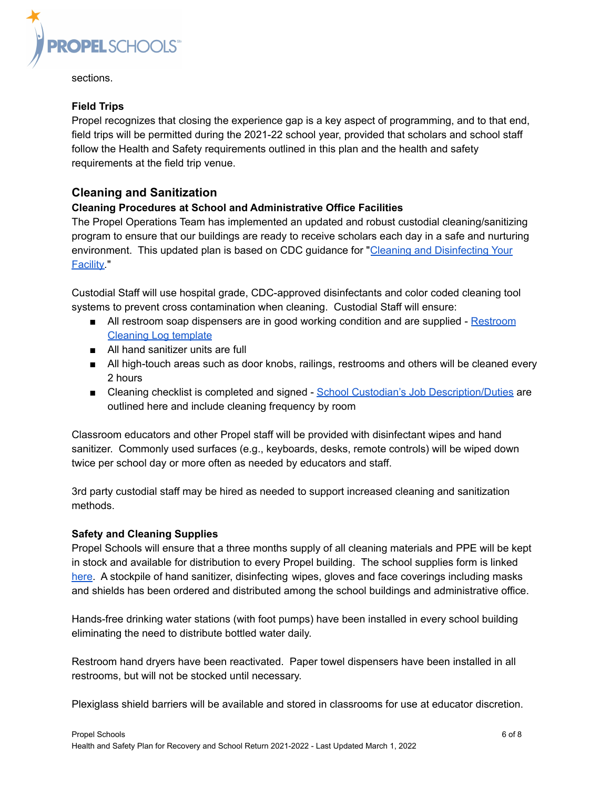

sections.

#### **Field Trips**

Propel recognizes that closing the experience gap is a key aspect of programming, and to that end, field trips will be permitted during the 2021-22 school year, provided that scholars and school staff follow the Health and Safety requirements outlined in this plan and the health and safety requirements at the field trip venue.

### **Cleaning and Sanitization**

#### **Cleaning Procedures at School and Administrative Office Facilities**

The Propel Operations Team has implemented an updated and robust custodial cleaning/sanitizing program to ensure that our buildings are ready to receive scholars each day in a safe and nurturing environment. This updated plan is based on CDC guidance for "[Cleaning and Disinfecting Your](https://drive.google.com/file/d/1RQLN13s2mkkNxgQIL_sxRKovyb9J-CPx/view?usp=sharing) [Facility.](https://drive.google.com/file/d/1RQLN13s2mkkNxgQIL_sxRKovyb9J-CPx/view?usp=sharing)"

Custodial Staff will use hospital grade, CDC-approved disinfectants and color coded cleaning tool systems to prevent cross contamination when cleaning. Custodial Staff will ensure:

- All restroom soap dispensers are in good working condition and are supplied [Restroom](https://docs.google.com/spreadsheets/d/1uec1iPRopaPpSDWswOvQ6Io7AXxtaNsyfVNlgSxFvb0/edit?ts=5ec538ff#gid=0) [Cleaning Log template](https://docs.google.com/spreadsheets/d/1uec1iPRopaPpSDWswOvQ6Io7AXxtaNsyfVNlgSxFvb0/edit?ts=5ec538ff#gid=0)
- All hand sanitizer units are full
- All high-touch areas such as door knobs, railings, restrooms and others will be cleaned every 2 hours
- Cleaning checklist is completed and signed School [Custodian's Job Description/Duties](https://docs.google.com/document/d/1Mq5JXtgpvs9ZcAiWhqS87jASzyNC2mnQht5MUKN4blY/edit?ts=5ec538ce#heading=h.gjdgxs) are outlined here and include cleaning frequency by room

Classroom educators and other Propel staff will be provided with disinfectant wipes and hand sanitizer. Commonly used surfaces (e.g., keyboards, desks, remote controls) will be wiped down twice per school day or more often as needed by educators and staff.

3rd party custodial staff may be hired as needed to support increased cleaning and sanitization methods.

#### **Safety and Cleaning Supplies**

Propel Schools will ensure that a three months supply of all cleaning materials and PPE will be kept in stock and available for distribution to every Propel building. The school supplies form is linked [here](https://docs.google.com/spreadsheets/d/1oJ7UL5Q7GulXP1ZcUFFLioh0J5P6ALNnkBhQxSUftKM/edit?usp=sharing). A stockpile of hand sanitizer, disinfecting wipes, gloves and face coverings including masks and shields has been ordered and distributed among the school buildings and administrative office.

Hands-free drinking water stations (with foot pumps) have been installed in every school building eliminating the need to distribute bottled water daily.

Restroom hand dryers have been reactivated. Paper towel dispensers have been installed in all restrooms, but will not be stocked until necessary.

Plexiglass shield barriers will be available and stored in classrooms for use at educator discretion.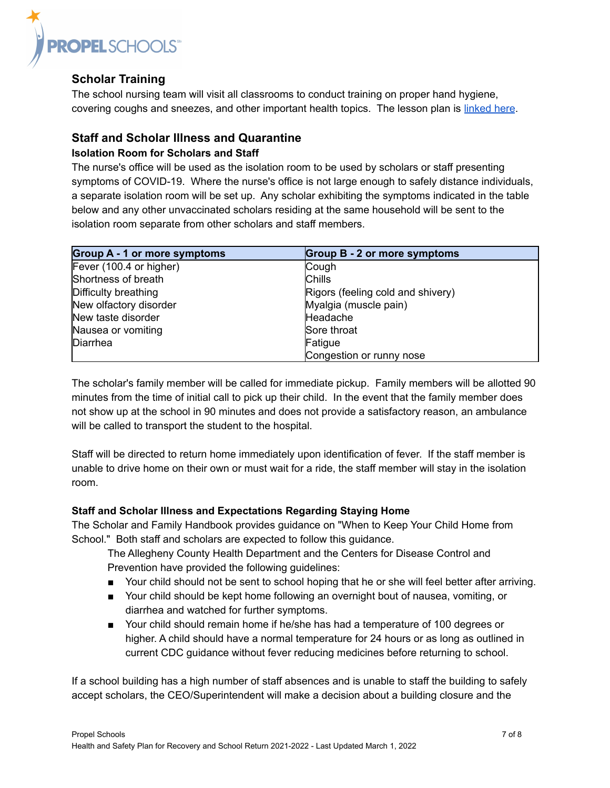

### **Scholar Training**

The school nursing team will visit all classrooms to conduct training on proper hand hygiene, covering coughs and sneezes, and other important health topics. The lesson plan is [linked here](https://docs.google.com/document/d/16kKWenP9fVAmzlURb-Wtws1iIH5EHYR8wSgSEjMs3dw/edit?usp=sharing).

### **Staff and Scholar Illness and Quarantine**

#### <span id="page-6-0"></span>**Isolation Room for Scholars and Staff**

The nurse's office will be used as the isolation room to be used by scholars or staff presenting symptoms of COVID-19. Where the nurse's office is not large enough to safely distance individuals, a separate isolation room will be set up. Any scholar exhibiting the symptoms indicated in the table below and any other unvaccinated scholars residing at the same household will be sent to the isolation room separate from other scholars and staff members.

| <b>Group A - 1 or more symptoms</b> | <b>Group B - 2 or more symptoms</b> |
|-------------------------------------|-------------------------------------|
| Fever (100.4 or higher)             | Cough                               |
| Shortness of breath                 | <b>Chills</b>                       |
| Difficulty breathing                | Rigors (feeling cold and shivery)   |
| New olfactory disorder              | Myalgia (muscle pain)               |
| New taste disorder                  | Headache                            |
| Nausea or vomiting                  | Sore throat                         |
| Diarrhea                            | Fatigue                             |
|                                     | Congestion or runny nose            |

The scholar's family member will be called for immediate pickup. Family members will be allotted 90 minutes from the time of initial call to pick up their child. In the event that the family member does not show up at the school in 90 minutes and does not provide a satisfactory reason, an ambulance will be called to transport the student to the hospital.

Staff will be directed to return home immediately upon identification of fever. If the staff member is unable to drive home on their own or must wait for a ride, the staff member will stay in the isolation room.

#### **Staff and Scholar Illness and Expectations Regarding Staying Home**

The Scholar and Family Handbook provides guidance on "When to Keep Your Child Home from School." Both staff and scholars are expected to follow this guidance.

The Allegheny County Health Department and the Centers for Disease Control and Prevention have provided the following guidelines:

- Your child should not be sent to school hoping that he or she will feel better after arriving.
- Your child should be kept home following an overnight bout of nausea, vomiting, or diarrhea and watched for further symptoms.
- Your child should remain home if he/she has had a temperature of 100 degrees or higher. A child should have a normal temperature for 24 hours or as long as outlined in current CDC guidance without fever reducing medicines before returning to school.

If a school building has a high number of staff absences and is unable to staff the building to safely accept scholars, the CEO/Superintendent will make a decision about a building closure and the